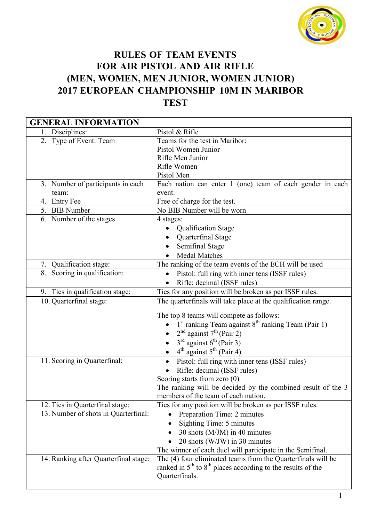

## RULES OF TEAM EVENTS FOR AIR PISTOL AND AIR RIFLE (MEN, WOMEN, MEN JUNIOR, WOMEN JUNIOR) 2017 EUROPEAN CHAMPIONSHIP 10M IN MARIBOR **TEST**

| <b>GENERAL INFORMATION</b>            |                                                                 |  |
|---------------------------------------|-----------------------------------------------------------------|--|
| 1. Disciplines:                       | Pistol & Rifle                                                  |  |
| 2. Type of Event: Team                | Teams for the test in Maribor:                                  |  |
|                                       | Pistol Women Junior                                             |  |
|                                       | Rifle Men Junior                                                |  |
|                                       | Rifle Women                                                     |  |
|                                       | Pistol Men                                                      |  |
| 3. Number of participants in each     | Each nation can enter 1 (one) team of each gender in each       |  |
| team:                                 | event.                                                          |  |
| 4. Entry Fee                          | Free of charge for the test.                                    |  |
| 5. BIB Number                         | No BIB Number will be worn                                      |  |
| 6. Number of the stages               | 4 stages:                                                       |  |
|                                       | <b>Qualification Stage</b>                                      |  |
|                                       | Quarterfinal Stage                                              |  |
|                                       | Semifinal Stage                                                 |  |
|                                       | <b>Medal Matches</b>                                            |  |
| 7. Qualification stage:               | The ranking of the team events of the ECH will be used          |  |
| 8. Scoring in qualification:          | Pistol: full ring with inner tens (ISSF rules)<br>$\bullet$     |  |
|                                       | Rifle: decimal (ISSF rules)                                     |  |
| 9. Ties in qualification stage:       | Ties for any position will be broken as per ISSF rules.         |  |
| 10. Quarterfinal stage:               | The quarterfinals will take place at the qualification range.   |  |
|                                       |                                                                 |  |
|                                       | The top 8 teams will compete as follows:                        |  |
|                                       | 1st ranking Team against 8 <sup>th</sup> ranking Team (Pair 1)  |  |
|                                       | $2nd$ against $7th$ (Pair 2)                                    |  |
|                                       | $3rd$ against $6th$ (Pair 3)                                    |  |
|                                       | $4th$ against $5th$ (Pair 4)                                    |  |
| 11. Scoring in Quarterfinal:          | Pistol: full ring with inner tens (ISSF rules)                  |  |
|                                       | Rifle: decimal (ISSF rules)                                     |  |
|                                       | Scoring starts from zero $(0)$                                  |  |
|                                       | The ranking will be decided by the combined result of the 3     |  |
|                                       | members of the team of each nation.                             |  |
| 12. Ties in Quarterfinal stage:       | Ties for any position will be broken as per ISSF rules.         |  |
| 13. Number of shots in Quarterfinal:  | Preparation Time: 2 minutes                                     |  |
|                                       | Sighting Time: 5 minutes                                        |  |
|                                       | 30 shots (M/JM) in 40 minutes                                   |  |
|                                       | 20 shots (W/JW) in 30 minutes                                   |  |
|                                       | The winner of each duel will participate in the Semifinal.      |  |
| 14. Ranking after Quarterfinal stage: | The (4) four eliminated teams from the Quarter finals will be   |  |
|                                       | ranked in $5th$ to $8th$ places according to the results of the |  |
|                                       | Quarterfinals.                                                  |  |
|                                       |                                                                 |  |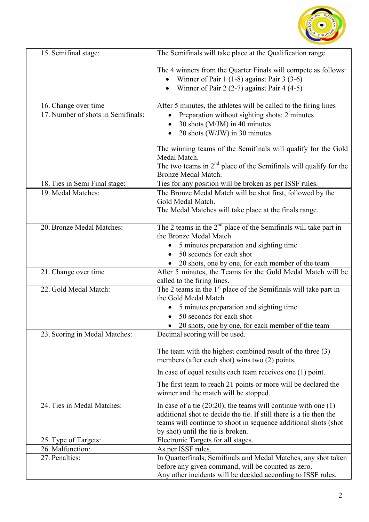

| 15. Semifinal stage:               | The Semifinals will take place at the Qualification range.                                                                                                                                                                                         |
|------------------------------------|----------------------------------------------------------------------------------------------------------------------------------------------------------------------------------------------------------------------------------------------------|
|                                    | The 4 winners from the Quarter Finals will compete as follows:<br>Winner of Pair $1(1-8)$ against Pair 3 (3-6)<br>Winner of Pair 2 $(2-7)$ against Pair 4 $(4-5)$                                                                                  |
| 16. Change over time               | After 5 minutes, the athletes will be called to the firing lines                                                                                                                                                                                   |
| 17. Number of shots in Semifinals: | Preparation without sighting shots: 2 minutes                                                                                                                                                                                                      |
|                                    | 30 shots (M/JM) in 40 minutes                                                                                                                                                                                                                      |
|                                    | 20 shots (W/JW) in 30 minutes                                                                                                                                                                                                                      |
|                                    | The winning teams of the Semifinals will qualify for the Gold<br>Medal Match.<br>The two teams in $2nd$ place of the Semifinals will qualify for the                                                                                               |
|                                    | Bronze Medal Match.                                                                                                                                                                                                                                |
| 18. Ties in Semi Final stage:      | Ties for any position will be broken as per ISSF rules.                                                                                                                                                                                            |
| 19. Medal Matches:                 | The Bronze Medal Match will be shot first, followed by the<br>Gold Medal Match.<br>The Medal Matches will take place at the finals range.                                                                                                          |
| 20. Bronze Medal Matches:          | The 2 teams in the $2nd$ place of the Semifinals will take part in<br>the Bronze Medal Match                                                                                                                                                       |
|                                    | 5 minutes preparation and sighting time                                                                                                                                                                                                            |
|                                    | 50 seconds for each shot                                                                                                                                                                                                                           |
|                                    | 20 shots, one by one, for each member of the team                                                                                                                                                                                                  |
| 21. Change over time               | After 5 minutes, the Teams for the Gold Medal Match will be<br>called to the firing lines.                                                                                                                                                         |
| 22. Gold Medal Match:              | The 2 teams in the 1 <sup>st</sup> place of the Semifinals will take part in<br>the Gold Medal Match                                                                                                                                               |
|                                    | 5 minutes preparation and sighting time                                                                                                                                                                                                            |
|                                    | 50 seconds for each shot                                                                                                                                                                                                                           |
|                                    | 20 shots, one by one, for each member of the team                                                                                                                                                                                                  |
| 23. Scoring in Medal Matches:      | Decimal scoring will be used.                                                                                                                                                                                                                      |
|                                    | The team with the highest combined result of the three $(3)$<br>members (after each shot) wins two (2) points.                                                                                                                                     |
|                                    | In case of equal results each team receives one $(1)$ point.                                                                                                                                                                                       |
|                                    | The first team to reach 21 points or more will be declared the<br>winner and the match will be stopped.                                                                                                                                            |
| 24. Ties in Medal Matches:         | In case of a tie $(20:20)$ , the teams will continue with one $(1)$<br>additional shot to decide the tie. If still there is a tie then the<br>teams will continue to shoot in sequence additional shots (shot<br>by shot) until the tie is broken. |
| 25. Type of Targets:               | Electronic Targets for all stages.                                                                                                                                                                                                                 |
| 26. Malfunction:                   | As per ISSF rules.                                                                                                                                                                                                                                 |
| 27. Penalties:                     | In Quarterfinals, Semifinals and Medal Matches, any shot taken                                                                                                                                                                                     |
|                                    | before any given command, will be counted as zero.<br>Any other incidents will be decided according to ISSF rules.                                                                                                                                 |
|                                    |                                                                                                                                                                                                                                                    |